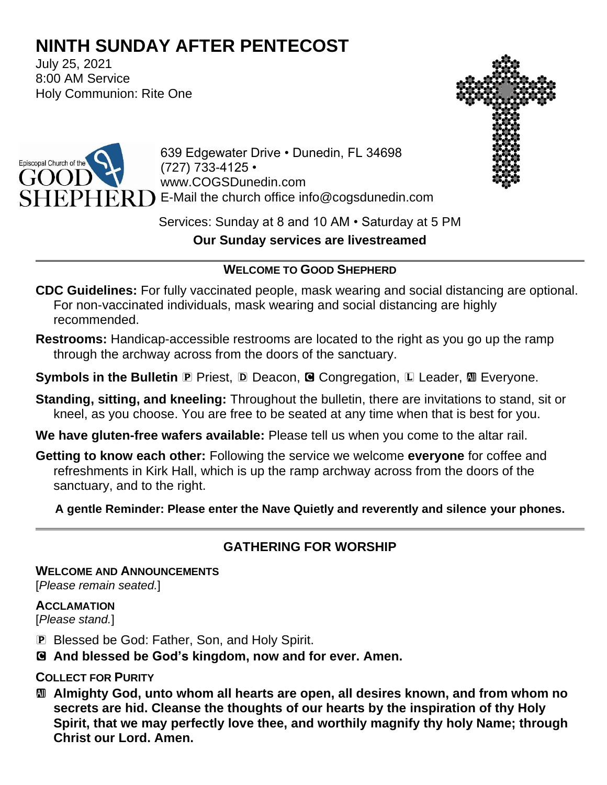# **NINTH SUNDAY AFTER PENTECOST**

July 25, 2021 8:00 AM Service Holy Communion: Rite One





639 Edgewater Drive • Dunedin, FL 34698 (727) 733-4125 • www.COGSDunedin.com E-Mail the church office info@cogsdunedin.com

Services: Sunday at 8 and 10 AM • Saturday at 5 PM **Our Sunday services are livestreamed**

#### **WELCOME TO GOOD SHEPHERD**

- **CDC Guidelines:** For fully vaccinated people, mask wearing and social distancing are optional. For non-vaccinated individuals, mask wearing and social distancing are highly recommended.
- **Restrooms:** Handicap-accessible restrooms are located to the right as you go up the ramp through the archway across from the doors of the sanctuary.
- **Symbols in the Bulletin P** Priest, **D** Deacon, **G** Congregation, **L** Leader, **M** Everyone.
- **Standing, sitting, and kneeling:** Throughout the bulletin, there are invitations to stand, sit or kneel, as you choose. You are free to be seated at any time when that is best for you.
- **We have gluten-free wafers available:** Please tell us when you come to the altar rail.
- **Getting to know each other:** Following the service we welcome **everyone** for coffee and refreshments in Kirk Hall, which is up the ramp archway across from the doors of the sanctuary, and to the right.

**A gentle Reminder: Please enter the Nave Quietly and reverently and silence your phones.**

### **GATHERING FOR WORSHIP**

**WELCOME AND ANNOUNCEMENTS**

[*Please remain seated.*]

#### **ACCLAMATION**

[*Please stand.*]

- P Blessed be God: Father, Son, and Holy Spirit.
- C **And blessed be God's kingdom, now and for ever. Amen.**

#### **COLLECT FOR PURITY**

a **Almighty God, unto whom all hearts are open, all desires known, and from whom no secrets are hid. Cleanse the thoughts of our hearts by the inspiration of thy Holy Spirit, that we may perfectly love thee, and worthily magnify thy holy Name; through Christ our Lord. Amen.**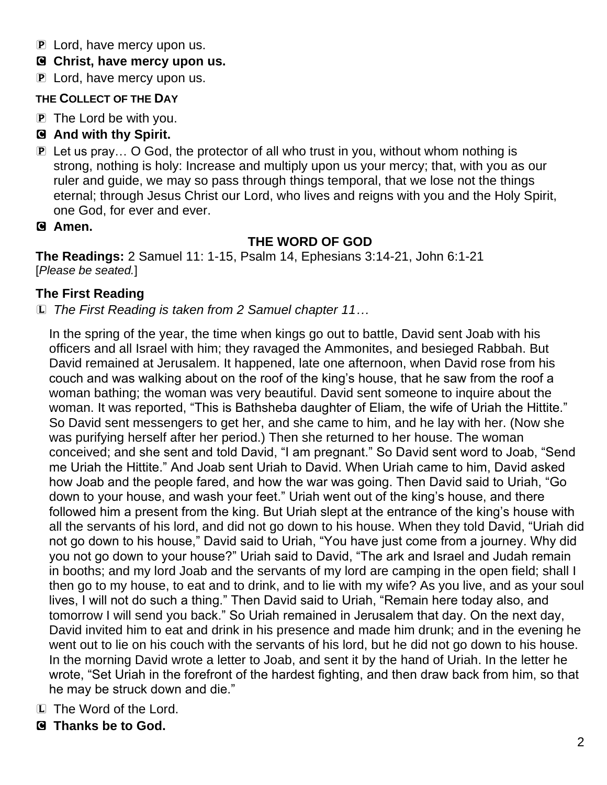- P Lord, have mercy upon us.
- C **Christ, have mercy upon us.**
- **P** Lord, have mercy upon us.

### **THE COLLECT OF THE DAY**

P The Lord be with you.

# C **And with thy Spirit.**

- P Let us pray… O God, the protector of all who trust in you, without whom nothing is strong, nothing is holy: Increase and multiply upon us your mercy; that, with you as our ruler and guide, we may so pass through things temporal, that we lose not the things eternal; through Jesus Christ our Lord, who lives and reigns with you and the Holy Spirit, one God, for ever and ever.
- C **Amen.**

# **THE WORD OF GOD**

**The Readings:** 2 Samuel 11: 1-15, Psalm 14, Ephesians 3:14-21, John 6:1-21 [*Please be seated.*]

## **The First Reading**

L *The First Reading is taken from 2 Samuel chapter 11…*

In the spring of the year, the time when kings go out to battle, David sent Joab with his officers and all Israel with him; they ravaged the Ammonites, and besieged Rabbah. But David remained at Jerusalem. It happened, late one afternoon, when David rose from his couch and was walking about on the roof of the king's house, that he saw from the roof a woman bathing; the woman was very beautiful. David sent someone to inquire about the woman. It was reported, "This is Bathsheba daughter of Eliam, the wife of Uriah the Hittite." So David sent messengers to get her, and she came to him, and he lay with her. (Now she was purifying herself after her period.) Then she returned to her house. The woman conceived; and she sent and told David, "I am pregnant." So David sent word to Joab, "Send me Uriah the Hittite." And Joab sent Uriah to David. When Uriah came to him, David asked how Joab and the people fared, and how the war was going. Then David said to Uriah, "Go down to your house, and wash your feet." Uriah went out of the king's house, and there followed him a present from the king. But Uriah slept at the entrance of the king's house with all the servants of his lord, and did not go down to his house. When they told David, "Uriah did not go down to his house," David said to Uriah, "You have just come from a journey. Why did you not go down to your house?" Uriah said to David, "The ark and Israel and Judah remain in booths; and my lord Joab and the servants of my lord are camping in the open field; shall I then go to my house, to eat and to drink, and to lie with my wife? As you live, and as your soul lives, I will not do such a thing." Then David said to Uriah, "Remain here today also, and tomorrow I will send you back." So Uriah remained in Jerusalem that day. On the next day, David invited him to eat and drink in his presence and made him drunk; and in the evening he went out to lie on his couch with the servants of his lord, but he did not go down to his house. In the morning David wrote a letter to Joab, and sent it by the hand of Uriah. In the letter he wrote, "Set Uriah in the forefront of the hardest fighting, and then draw back from him, so that he may be struck down and die."

- L The Word of the Lord.
- C **Thanks be to God.**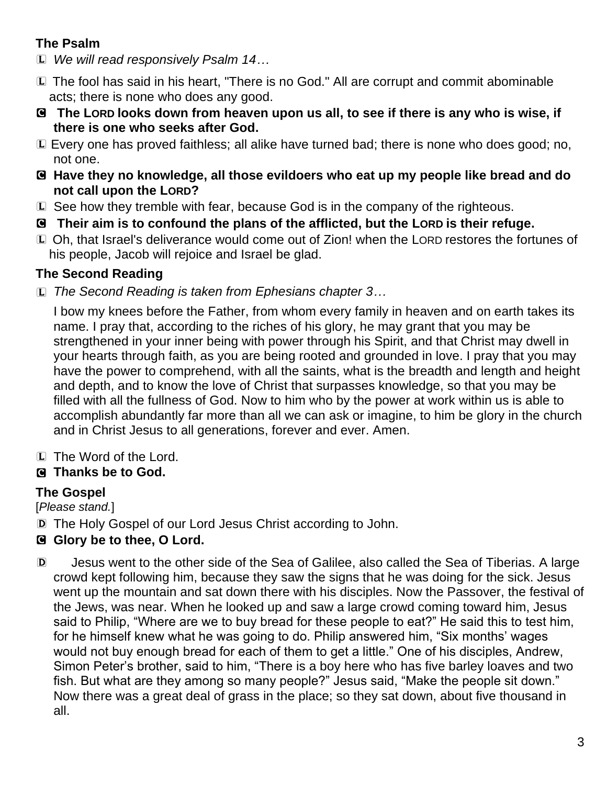### **The Psalm**

- L *We will read responsively Psalm 14…*
- L The fool has said in his heart, "There is no God." All are corrupt and commit abominable acts; there is none who does any good.
- C **The LORD looks down from heaven upon us all, to see if there is any who is wise, if there is one who seeks after God.**
- L Every one has proved faithless; all alike have turned bad; there is none who does good; no, not one.
- C **Have they no knowledge, all those evildoers who eat up my people like bread and do not call upon the LORD?**
- L See how they tremble with fear, because God is in the company of the righteous.
- C **Their aim is to confound the plans of the afflicted, but the LORD is their refuge.**
- L Oh, that Israel's deliverance would come out of Zion! when the LORD restores the fortunes of his people, Jacob will rejoice and Israel be glad.

## **The Second Reading**

L *The Second Reading is taken from Ephesians chapter 3…*

I bow my knees before the Father, from whom every family in heaven and on earth takes its name. I pray that, according to the riches of his glory, he may grant that you may be strengthened in your inner being with power through his Spirit, and that Christ may dwell in your hearts through faith, as you are being rooted and grounded in love. I pray that you may have the power to comprehend, with all the saints, what is the breadth and length and height and depth, and to know the love of Christ that surpasses knowledge, so that you may be filled with all the fullness of God. Now to him who by the power at work within us is able to accomplish abundantly far more than all we can ask or imagine, to him be glory in the church and in Christ Jesus to all generations, forever and ever. Amen.

L The Word of the Lord.

# C **Thanks be to God.**

## **The Gospel**

[*Please stand.*]

D The Holy Gospel of our Lord Jesus Christ according to John.

# C **Glory be to thee, O Lord.**

D Jesus went to the other side of the Sea of Galilee, also called the Sea of Tiberias. A large crowd kept following him, because they saw the signs that he was doing for the sick. Jesus went up the mountain and sat down there with his disciples. Now the Passover, the festival of the Jews, was near. When he looked up and saw a large crowd coming toward him, Jesus said to Philip, "Where are we to buy bread for these people to eat?" He said this to test him, for he himself knew what he was going to do. Philip answered him, "Six months' wages would not buy enough bread for each of them to get a little." One of his disciples, Andrew, Simon Peter's brother, said to him, "There is a boy here who has five barley loaves and two fish. But what are they among so many people?" Jesus said, "Make the people sit down." Now there was a great deal of grass in the place; so they sat down, about five thousand in all.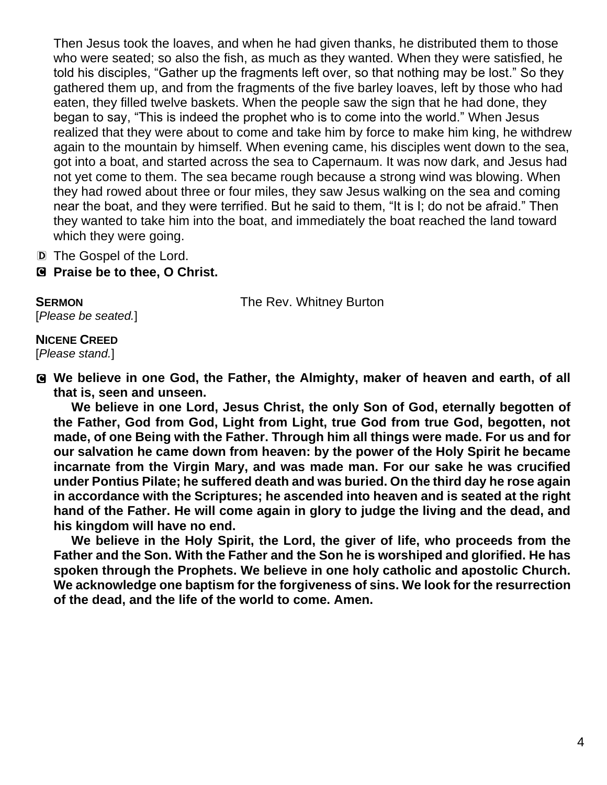Then Jesus took the loaves, and when he had given thanks, he distributed them to those who were seated; so also the fish, as much as they wanted. When they were satisfied, he told his disciples, "Gather up the fragments left over, so that nothing may be lost." So they gathered them up, and from the fragments of the five barley loaves, left by those who had eaten, they filled twelve baskets. When the people saw the sign that he had done, they began to say, "This is indeed the prophet who is to come into the world." When Jesus realized that they were about to come and take him by force to make him king, he withdrew again to the mountain by himself. When evening came, his disciples went down to the sea, got into a boat, and started across the sea to Capernaum. It was now dark, and Jesus had not yet come to them. The sea became rough because a strong wind was blowing. When they had rowed about three or four miles, they saw Jesus walking on the sea and coming near the boat, and they were terrified. But he said to them, "It is I; do not be afraid." Then they wanted to take him into the boat, and immediately the boat reached the land toward which they were going.

D The Gospel of the Lord.

C **Praise be to thee, O Christ.**

**SERMON** The Rev. Whitney Burton

[*Please be seated.*] **NICENE CREED** 

[*Please stand.*]

C **We believe in one God, the Father, the Almighty, maker of heaven and earth, of all that is, seen and unseen.** 

**We believe in one Lord, Jesus Christ, the only Son of God, eternally begotten of the Father, God from God, Light from Light, true God from true God, begotten, not made, of one Being with the Father. Through him all things were made. For us and for our salvation he came down from heaven: by the power of the Holy Spirit he became incarnate from the Virgin Mary, and was made man. For our sake he was crucified under Pontius Pilate; he suffered death and was buried. On the third day he rose again in accordance with the Scriptures; he ascended into heaven and is seated at the right hand of the Father. He will come again in glory to judge the living and the dead, and his kingdom will have no end.**

**We believe in the Holy Spirit, the Lord, the giver of life, who proceeds from the Father and the Son. With the Father and the Son he is worshiped and glorified. He has spoken through the Prophets. We believe in one holy catholic and apostolic Church. We acknowledge one baptism for the forgiveness of sins. We look for the resurrection of the dead, and the life of the world to come. Amen.**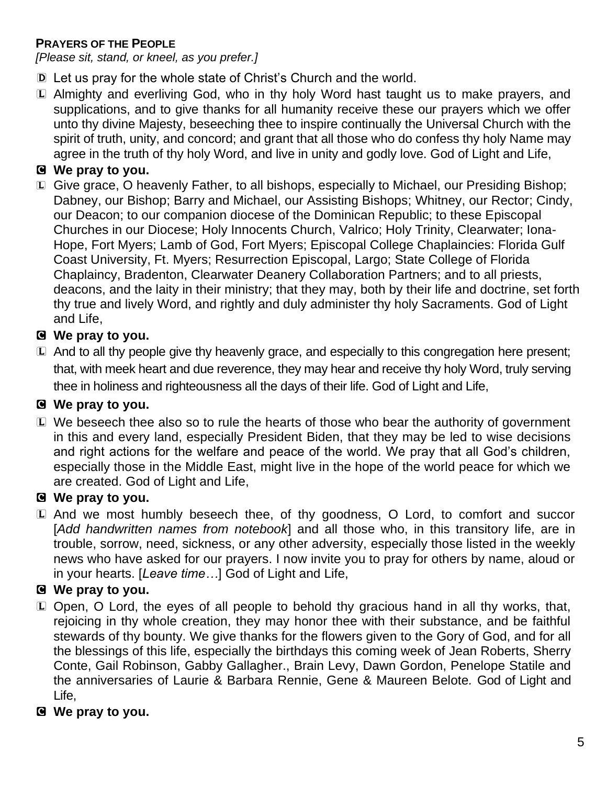#### **PRAYERS OF THE PEOPLE**

*[Please sit, stand, or kneel, as you prefer.]*

- D Let us pray for the whole state of Christ's Church and the world.
- L Almighty and everliving God, who in thy holy Word hast taught us to make prayers, and supplications, and to give thanks for all humanity receive these our prayers which we offer unto thy divine Majesty, beseeching thee to inspire continually the Universal Church with the spirit of truth, unity, and concord; and grant that all those who do confess thy holy Name may agree in the truth of thy holy Word, and live in unity and godly love. God of Light and Life,

#### C **We pray to you.**

L Give grace, O heavenly Father, to all bishops, especially to Michael, our Presiding Bishop; Dabney, our Bishop; Barry and Michael, our Assisting Bishops; Whitney, our Rector; Cindy, our Deacon; to our companion diocese of the Dominican Republic; to these Episcopal Churches in our Diocese; Holy Innocents Church, Valrico; Holy Trinity, Clearwater; Iona-Hope, Fort Myers; Lamb of God, Fort Myers; Episcopal College Chaplaincies: Florida Gulf Coast University, Ft. Myers; Resurrection Episcopal, Largo; State College of Florida Chaplaincy, Bradenton, Clearwater Deanery Collaboration Partners; and to all priests, deacons, and the laity in their ministry; that they may, both by their life and doctrine, set forth thy true and lively Word, and rightly and duly administer thy holy Sacraments. God of Light and Life,

#### C **We pray to you.**

L And to all thy people give thy heavenly grace, and especially to this congregation here present; that, with meek heart and due reverence, they may hear and receive thy holy Word, truly serving thee in holiness and righteousness all the days of their life. God of Light and Life,

### C **We pray to you.**

L We beseech thee also so to rule the hearts of those who bear the authority of government in this and every land, especially President Biden, that they may be led to wise decisions and right actions for the welfare and peace of the world. We pray that all God's children, especially those in the Middle East, might live in the hope of the world peace for which we are created. God of Light and Life,

#### C **We pray to you.**

L And we most humbly beseech thee, of thy goodness, O Lord, to comfort and succor [*Add handwritten names from notebook*] and all those who, in this transitory life, are in trouble, sorrow, need, sickness, or any other adversity, especially those listed in the weekly news who have asked for our prayers. I now invite you to pray for others by name, aloud or in your hearts. [*Leave time…*] God of Light and Life,

#### C **We pray to you.**

L Open, O Lord, the eyes of all people to behold thy gracious hand in all thy works, that, rejoicing in thy whole creation, they may honor thee with their substance, and be faithful stewards of thy bounty. We give thanks for the flowers given to the Gory of God, and for all the blessings of this life, especially the birthdays this coming week of Jean Roberts, Sherry Conte, Gail Robinson, Gabby Gallagher., Brain Levy, Dawn Gordon, Penelope Statile and the anniversaries of Laurie & Barbara Rennie, Gene & Maureen Belote*.* God of Light and Life,

#### C **We pray to you.**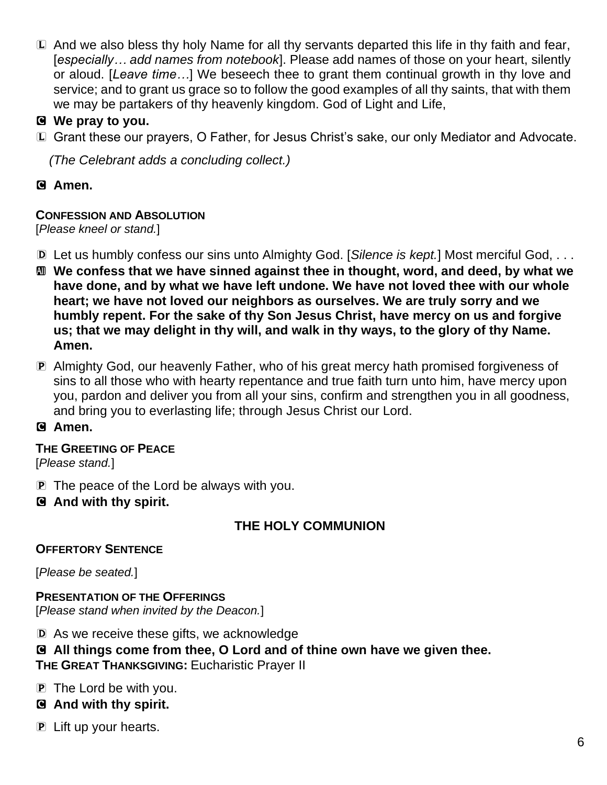L And we also bless thy holy Name for all thy servants departed this life in thy faith and fear, [*especially… add names from notebook*]. Please add names of those on your heart, silently or aloud. [*Leave time…*] We beseech thee to grant them continual growth in thy love and service; and to grant us grace so to follow the good examples of all thy saints, that with them we may be partakers of thy heavenly kingdom. God of Light and Life,

#### C **We pray to you.**

L Grant these our prayers, O Father, for Jesus Christ's sake, our only Mediator and Advocate.

*(The Celebrant adds a concluding collect.)*

#### C **Amen.**

#### **CONFESSION AND ABSOLUTION**

[*Please kneel or stand.*]

- D Let us humbly confess our sins unto Almighty God. [*Silence is kept.*] Most merciful God, . . .
- a **We confess that we have sinned against thee in thought, word, and deed, by what we have done, and by what we have left undone. We have not loved thee with our whole heart; we have not loved our neighbors as ourselves. We are truly sorry and we humbly repent. For the sake of thy Son Jesus Christ, have mercy on us and forgive us; that we may delight in thy will, and walk in thy ways, to the glory of thy Name. Amen.**
- P Almighty God, our heavenly Father, who of his great mercy hath promised forgiveness of sins to all those who with hearty repentance and true faith turn unto him, have mercy upon you, pardon and deliver you from all your sins, confirm and strengthen you in all goodness, and bring you to everlasting life; through Jesus Christ our Lord.

#### C **Amen.**

# **THE GREETING OF PEACE**

[*Please stand.*]

- P The peace of the Lord be always with you.
- C **And with thy spirit.**

#### **THE HOLY COMMUNION**

#### **OFFERTORY SENTENCE**

[*Please be seated.*]

**PRESENTATION OF THE OFFERINGS** [*Please stand when invited by the Deacon.*]

D As we receive these gifts, we acknowledge

# C **All things come from thee, O Lord and of thine own have we given thee.**

**THE GREAT THANKSGIVING:** Eucharistic Prayer II

P The Lord be with you.

#### C **And with thy spirit.**

P Lift up your hearts.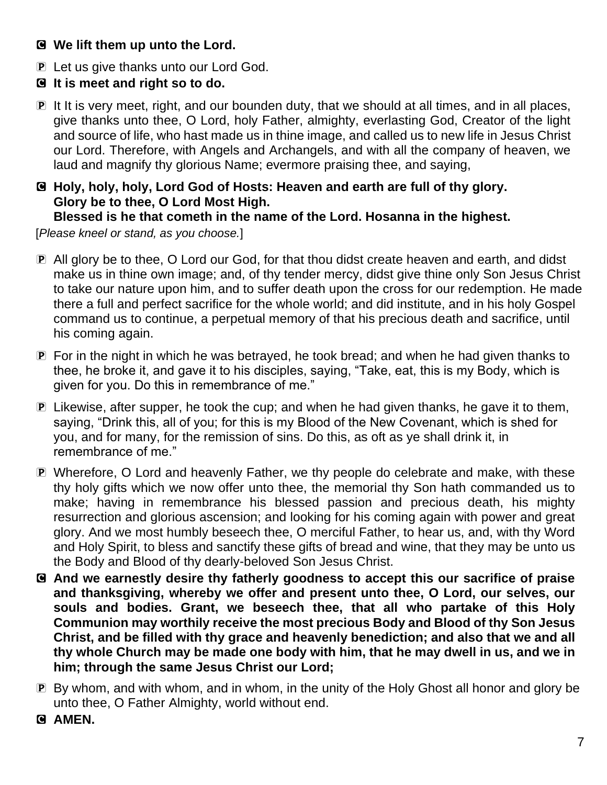- C **We lift them up unto the Lord.**
- P Let us give thanks unto our Lord God.
- C **It is meet and right so to do.**
- P It It is very meet, right, and our bounden duty, that we should at all times, and in all places, give thanks unto thee, O Lord, holy Father, almighty, everlasting God, Creator of the light and source of life, who hast made us in thine image, and called us to new life in Jesus Christ our Lord. Therefore, with Angels and Archangels, and with all the company of heaven, we laud and magnify thy glorious Name; evermore praising thee, and saying,
- C **Holy, holy, holy, Lord God of Hosts: Heaven and earth are full of thy glory. Glory be to thee, O Lord Most High.**

#### **Blessed is he that cometh in the name of the Lord. Hosanna in the highest.**

[*Please kneel or stand, as you choose.*]

- P All glory be to thee, O Lord our God, for that thou didst create heaven and earth, and didst make us in thine own image; and, of thy tender mercy, didst give thine only Son Jesus Christ to take our nature upon him, and to suffer death upon the cross for our redemption. He made there a full and perfect sacrifice for the whole world; and did institute, and in his holy Gospel command us to continue, a perpetual memory of that his precious death and sacrifice, until his coming again.
- P For in the night in which he was betrayed, he took bread; and when he had given thanks to thee, he broke it, and gave it to his disciples, saying, "Take, eat, this is my Body, which is given for you. Do this in remembrance of me."
- P Likewise, after supper, he took the cup; and when he had given thanks, he gave it to them, saying, "Drink this, all of you; for this is my Blood of the New Covenant, which is shed for you, and for many, for the remission of sins. Do this, as oft as ye shall drink it, in remembrance of me."
- P Wherefore, O Lord and heavenly Father, we thy people do celebrate and make, with these thy holy gifts which we now offer unto thee, the memorial thy Son hath commanded us to make; having in remembrance his blessed passion and precious death, his mighty resurrection and glorious ascension; and looking for his coming again with power and great glory. And we most humbly beseech thee, O merciful Father, to hear us, and, with thy Word and Holy Spirit, to bless and sanctify these gifts of bread and wine, that they may be unto us the Body and Blood of thy dearly-beloved Son Jesus Christ.
- C **And we earnestly desire thy fatherly goodness to accept this our sacrifice of praise and thanksgiving, whereby we offer and present unto thee, O Lord, our selves, our souls and bodies. Grant, we beseech thee, that all who partake of this Holy Communion may worthily receive the most precious Body and Blood of thy Son Jesus Christ, and be filled with thy grace and heavenly benediction; and also that we and all thy whole Church may be made one body with him, that he may dwell in us, and we in him; through the same Jesus Christ our Lord;**
- P By whom, and with whom, and in whom, in the unity of the Holy Ghost all honor and glory be unto thee, O Father Almighty, world without end.
- C **AMEN.**